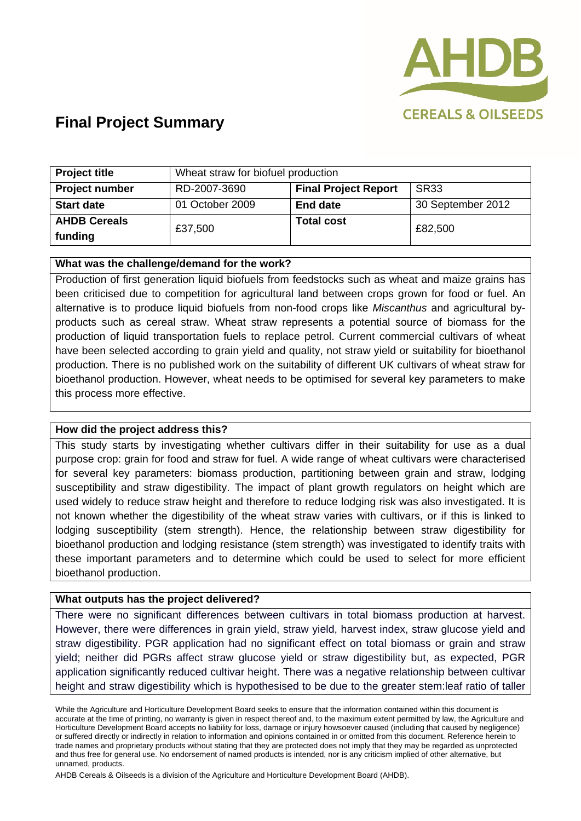

# **Final Project Summary**

| <b>Project title</b>           | Wheat straw for biofuel production |                             |                   |
|--------------------------------|------------------------------------|-----------------------------|-------------------|
| <b>Project number</b>          | RD-2007-3690                       | <b>Final Project Report</b> | <b>SR33</b>       |
| <b>Start date</b>              | 01 October 2009                    | <b>End date</b>             | 30 September 2012 |
| <b>AHDB Cereals</b><br>funding | £37,500                            | <b>Total cost</b>           | £82,500           |

#### **What was the challenge/demand for the work?**

Production of first generation liquid biofuels from feedstocks such as wheat and maize grains has been criticised due to competition for agricultural land between crops grown for food or fuel. An alternative is to produce liquid biofuels from non-food crops like *Miscanthus* and agricultural byproducts such as cereal straw. Wheat straw represents a potential source of biomass for the production of liquid transportation fuels to replace petrol. Current commercial cultivars of wheat have been selected according to grain yield and quality, not straw yield or suitability for bioethanol production. There is no published work on the suitability of different UK cultivars of wheat straw for bioethanol production. However, wheat needs to be optimised for several key parameters to make this process more effective.

#### **How did the project address this?**

This study starts by investigating whether cultivars differ in their suitability for use as a dual purpose crop: grain for food and straw for fuel. A wide range of wheat cultivars were characterised for several key parameters: biomass production, partitioning between grain and straw, lodging susceptibility and straw digestibility. The impact of plant growth regulators on height which are used widely to reduce straw height and therefore to reduce lodging risk was also investigated. It is not known whether the digestibility of the wheat straw varies with cultivars, or if this is linked to lodging susceptibility (stem strength). Hence, the relationship between straw digestibility for bioethanol production and lodging resistance (stem strength) was investigated to identify traits with these important parameters and to determine which could be used to select for more efficient bioethanol production.

### **What outputs has the project delivered?**

There were no significant differences between cultivars in total biomass production at harvest. However, there were differences in grain yield, straw yield, harvest index, straw glucose yield and straw digestibility. PGR application had no significant effect on total biomass or grain and straw yield; neither did PGRs affect straw glucose yield or straw digestibility but, as expected, PGR application significantly reduced cultivar height. There was a negative relationship between cultivar height and straw digestibility which is hypothesised to be due to the greater stem:leaf ratio of taller

AHDB Cereals & Oilseeds is a division of the Agriculture and Horticulture Development Board (AHDB).

While the Agriculture and Horticulture Development Board seeks to ensure that the information contained within this document is accurate at the time of printing, no warranty is given in respect thereof and, to the maximum extent permitted by law, the Agriculture and Horticulture Development Board accepts no liability for loss, damage or injury howsoever caused (including that caused by negligence) or suffered directly or indirectly in relation to information and opinions contained in or omitted from this document. Reference herein to trade names and proprietary products without stating that they are protected does not imply that they may be regarded as unprotected and thus free for general use. No endorsement of named products is intended, nor is any criticism implied of other alternative, but unnamed, products.